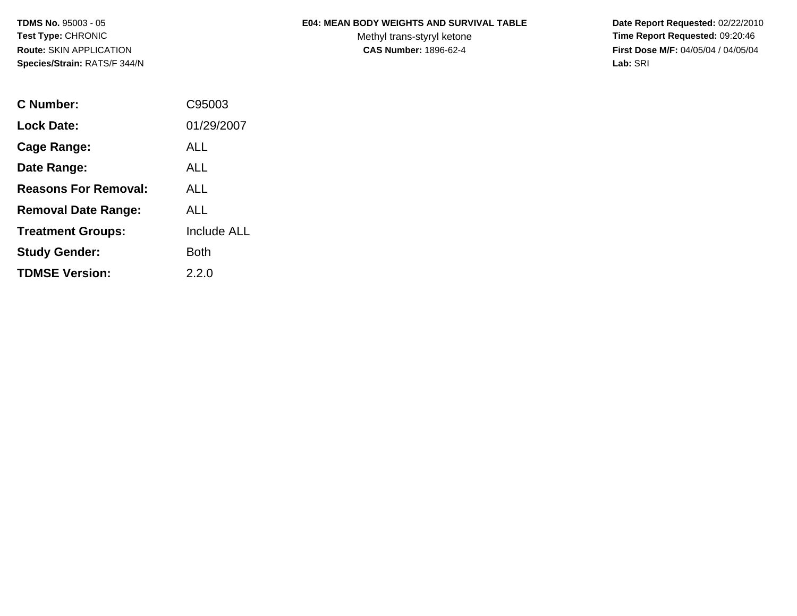| <b>E04: MEAN BODY WEIGHTS AND SURVIVAL TABLE</b> |
|--------------------------------------------------|
|                                                  |

Methyl trans-styryl ketone<br>CAS Number: 1896-62-4

 **Date Report Requested:** 02/22/2010 **Time Report Requested:** 09:20:46 **First Dose M/F:** 04/05/04 / 04/05/04<br>Lab: SRI **Lab:** SRI

| C Number:                   | C95003             |
|-----------------------------|--------------------|
| Lock Date:                  | 01/29/2007         |
| Cage Range:                 | ALL                |
| Date Range:                 | AI I               |
| <b>Reasons For Removal:</b> | AI I               |
| <b>Removal Date Range:</b>  | ALL                |
| <b>Treatment Groups:</b>    | <b>Include ALL</b> |
| <b>Study Gender:</b>        | Both               |
| <b>TDMSE Version:</b>       | 2.2.0              |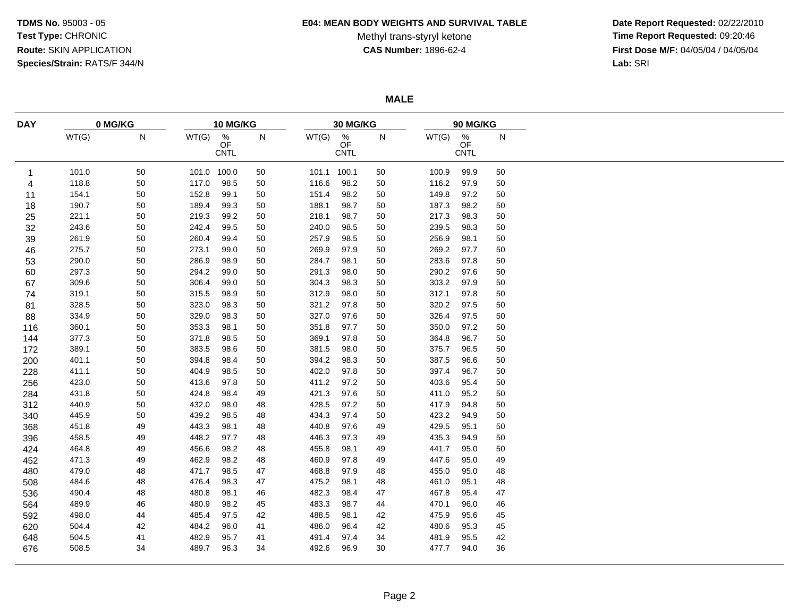### **E04: MEAN BODY WEIGHTS AND SURVIVAL TABLE**

# Methyl trans-styryl ketone<br>CAS Number: 1896-62-4

 **Date Report Requested:** 02/22/2010 **Time Report Requested:** 09:20:46 **First Dose M/F:** 04/05/04 / 04/05/04<br>Lab: SRI **Lab:** SRI

**MALE**

| <b>DAY</b> | 0 MG/KG |    |             | 10 MG/KG               |    |       | 30 MG/KG                 |    |       | 90 MG/KG               |    |  |  |
|------------|---------|----|-------------|------------------------|----|-------|--------------------------|----|-------|------------------------|----|--|--|
|            | WT(G)   | N  | WT(G)       | $\frac{\%}{\text{OF}}$ | N  | WT(G) | $\%$                     | N  | WT(G) | $\frac{\%}{\text{OF}}$ | N  |  |  |
|            |         |    |             | <b>CNTL</b>            |    |       | <b>OF</b><br><b>CNTL</b> |    |       | <b>CNTL</b>            |    |  |  |
|            |         |    |             |                        |    |       |                          |    |       |                        |    |  |  |
| 1          | 101.0   | 50 | 101.0 100.0 |                        | 50 |       | 101.1 100.1              | 50 | 100.9 | 99.9                   | 50 |  |  |
| 4          | 118.8   | 50 | 117.0       | 98.5                   | 50 | 116.6 | 98.2                     | 50 | 116.2 | 97.9                   | 50 |  |  |
| 11         | 154.1   | 50 | 152.8       | 99.1                   | 50 | 151.4 | 98.2                     | 50 | 149.8 | 97.2                   | 50 |  |  |
| 18         | 190.7   | 50 | 189.4       | 99.3                   | 50 | 188.1 | 98.7                     | 50 | 187.3 | 98.2                   | 50 |  |  |
| 25         | 221.1   | 50 | 219.3       | 99.2                   | 50 | 218.1 | 98.7                     | 50 | 217.3 | 98.3                   | 50 |  |  |
| 32         | 243.6   | 50 | 242.4       | 99.5                   | 50 | 240.0 | 98.5                     | 50 | 239.5 | 98.3                   | 50 |  |  |
| 39         | 261.9   | 50 | 260.4       | 99.4                   | 50 | 257.9 | 98.5                     | 50 | 256.9 | 98.1                   | 50 |  |  |
| 46         | 275.7   | 50 | 273.1       | 99.0                   | 50 | 269.9 | 97.9                     | 50 | 269.2 | 97.7                   | 50 |  |  |
| 53         | 290.0   | 50 | 286.9       | 98.9                   | 50 | 284.7 | 98.1                     | 50 | 283.6 | 97.8                   | 50 |  |  |
| 60         | 297.3   | 50 | 294.2       | 99.0                   | 50 | 291.3 | 98.0                     | 50 | 290.2 | 97.6                   | 50 |  |  |
| 67         | 309.6   | 50 | 306.4       | 99.0                   | 50 | 304.3 | 98.3                     | 50 | 303.2 | 97.9                   | 50 |  |  |
| 74         | 319.1   | 50 | 315.5       | 98.9                   | 50 | 312.9 | 98.0                     | 50 | 312.1 | 97.8                   | 50 |  |  |
| 81         | 328.5   | 50 | 323.0       | 98.3                   | 50 | 321.2 | 97.8                     | 50 | 320.2 | 97.5                   | 50 |  |  |
| 88         | 334.9   | 50 | 329.0       | 98.3                   | 50 | 327.0 | 97.6                     | 50 | 326.4 | 97.5                   | 50 |  |  |
| 116        | 360.1   | 50 | 353.3       | 98.1                   | 50 | 351.8 | 97.7                     | 50 | 350.0 | 97.2                   | 50 |  |  |
| 144        | 377.3   | 50 | 371.8       | 98.5                   | 50 | 369.1 | 97.8                     | 50 | 364.8 | 96.7                   | 50 |  |  |
| 172        | 389.1   | 50 | 383.5       | 98.6                   | 50 | 381.5 | 98.0                     | 50 | 375.7 | 96.5                   | 50 |  |  |
| 200        | 401.1   | 50 | 394.8       | 98.4                   | 50 | 394.2 | 98.3                     | 50 | 387.5 | 96.6                   | 50 |  |  |
| 228        | 411.1   | 50 | 404.9       | 98.5                   | 50 | 402.0 | 97.8                     | 50 | 397.4 | 96.7                   | 50 |  |  |
| 256        | 423.0   | 50 | 413.6       | 97.8                   | 50 | 411.2 | 97.2                     | 50 | 403.6 | 95.4                   | 50 |  |  |
| 284        | 431.8   | 50 | 424.8       | 98.4                   | 49 | 421.3 | 97.6                     | 50 | 411.0 | 95.2                   | 50 |  |  |
| 312        | 440.9   | 50 | 432.0       | 98.0                   | 48 | 428.5 | 97.2                     | 50 | 417.9 | 94.8                   | 50 |  |  |
| 340        | 445.9   | 50 | 439.2       | 98.5                   | 48 | 434.3 | 97.4                     | 50 | 423.2 | 94.9                   | 50 |  |  |
| 368        | 451.8   | 49 | 443.3       | 98.1                   | 48 | 440.8 | 97.6                     | 49 | 429.5 | 95.1                   | 50 |  |  |
| 396        | 458.5   | 49 | 448.2       | 97.7                   | 48 | 446.3 | 97.3                     | 49 | 435.3 | 94.9                   | 50 |  |  |
|            | 464.8   | 49 | 456.6       | 98.2                   | 48 | 455.8 | 98.1                     | 49 | 441.7 | 95.0                   | 50 |  |  |
| 424        |         |    |             | 98.2                   |    |       | 97.8                     |    |       |                        |    |  |  |
| 452        | 471.3   | 49 | 462.9       |                        | 48 | 460.9 |                          | 49 | 447.6 | 95.0                   | 49 |  |  |
| 480        | 479.0   | 48 | 471.7       | 98.5                   | 47 | 468.8 | 97.9                     | 48 | 455.0 | 95.0                   | 48 |  |  |
| 508        | 484.6   | 48 | 476.4       | 98.3                   | 47 | 475.2 | 98.1                     | 48 | 461.0 | 95.1                   | 48 |  |  |
| 536        | 490.4   | 48 | 480.8       | 98.1                   | 46 | 482.3 | 98.4                     | 47 | 467.8 | 95.4                   | 47 |  |  |
| 564        | 489.9   | 46 | 480.9       | 98.2                   | 45 | 483.3 | 98.7                     | 44 | 470.1 | 96.0                   | 46 |  |  |
| 592        | 498.0   | 44 | 485.4       | 97.5                   | 42 | 488.5 | 98.1                     | 42 | 475.9 | 95.6                   | 45 |  |  |
| 620        | 504.4   | 42 | 484.2       | 96.0                   | 41 | 486.0 | 96.4                     | 42 | 480.6 | 95.3                   | 45 |  |  |
| 648        | 504.5   | 41 | 482.9       | 95.7                   | 41 | 491.4 | 97.4                     | 34 | 481.9 | 95.5                   | 42 |  |  |
| 676        | 508.5   | 34 | 489.7       | 96.3                   | 34 | 492.6 | 96.9                     | 30 | 477.7 | 94.0                   | 36 |  |  |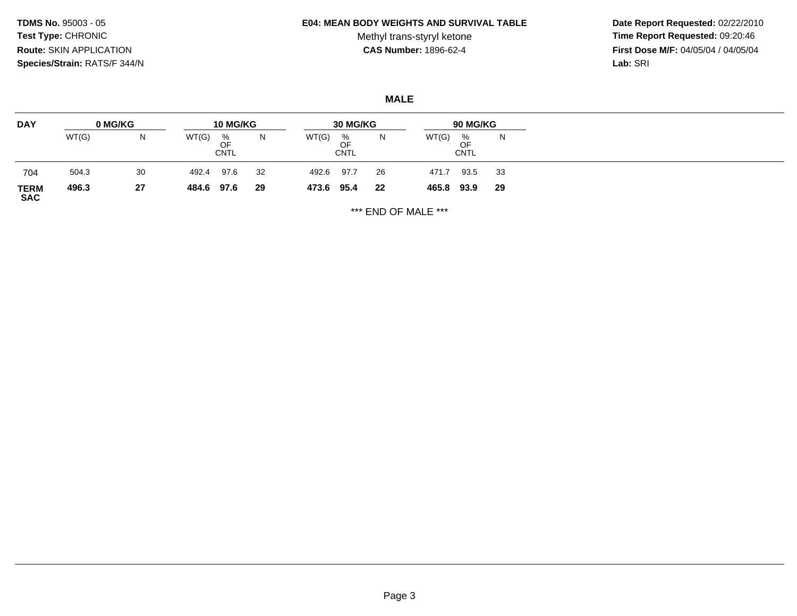#### **E04: MEAN BODY WEIGHTS AND SURVIVAL TABLE**

Methyl trans-styryl ketone<br>CAS Number: 1896-62-4

 **Date Report Requested:** 02/22/2010 **Time Report Requested:** 09:20:46 **First Dose M/F:** 04/05/04 / 04/05/04<br>Lab: SRI **Lab:** SRI

**MALE**

| <b>DAY</b>                | 0 MG/KG |    | <b>10 MG/KG</b> |                        |    | 30 MG/KG   |                 |    | 90 MG/KG   |                        |     |
|---------------------------|---------|----|-----------------|------------------------|----|------------|-----------------|----|------------|------------------------|-----|
|                           | WT(G)   | N  | WT(G)           | %<br>OF<br><b>CNTL</b> | N  | WT(G)      | %<br>OF<br>CNTL | N  | WT(G)      | %<br>OF<br><b>CNTL</b> | N   |
| 704                       | 504.3   | 30 | 492.4           | 97.6                   | 32 | 492.6      | 97.7            | 26 | 471.7      | 93.5                   | -33 |
| <b>TERM</b><br><b>SAC</b> | 496.3   | 27 | 484.6 97.6      |                        | 29 | 473.6 95.4 |                 | 22 | 465.8 93.9 |                        | 29  |

\*\*\* END OF MALE \*\*\*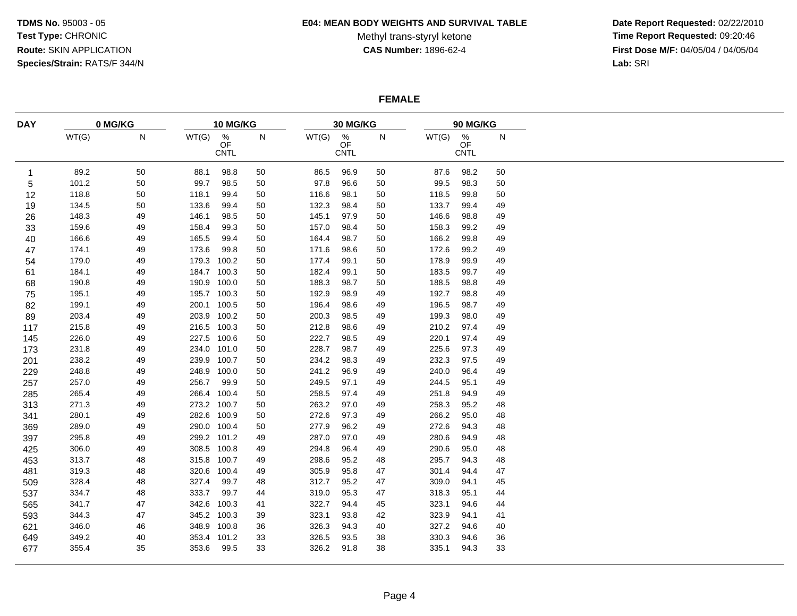### **E04: MEAN BODY WEIGHTS AND SURVIVAL TABLE**

Methyl trans-styryl ketone<br>CAS Number: 1896-62-4

 **Date Report Requested:** 02/22/2010 **Time Report Requested:** 09:20:46 **First Dose M/F:** 04/05/04 / 04/05/04<br>Lab: SRI **Lab:** SRI

## **FEMALE**

| <b>DAY</b> |       | 0 MG/KG |             | 10 MG/KG                              |    |       | 30 MG/KG                              |    |       | 90 MG/KG                              |    |
|------------|-------|---------|-------------|---------------------------------------|----|-------|---------------------------------------|----|-------|---------------------------------------|----|
|            | WT(G) | N       | WT(G)       | $\frac{\%}{\text{OF}}$<br><b>CNTL</b> | N  | WT(G) | $\frac{\%}{\text{OF}}$<br><b>CNTL</b> | N  | WT(G) | $\frac{\%}{\text{OF}}$<br><b>CNTL</b> | N  |
| 1          | 89.2  | 50      | 88.1        | 98.8                                  | 50 | 86.5  | 96.9                                  | 50 | 87.6  | 98.2                                  | 50 |
| 5          | 101.2 | 50      | 99.7        | 98.5                                  | 50 | 97.8  | 96.6                                  | 50 | 99.5  | 98.3                                  | 50 |
| 12         | 118.8 | 50      | 118.1       | 99.4                                  | 50 | 116.6 | 98.1                                  | 50 | 118.5 | 99.8                                  | 50 |
| 19         | 134.5 | 50      | 133.6       | 99.4                                  | 50 | 132.3 | 98.4                                  | 50 | 133.7 | 99.4                                  | 49 |
| 26         | 148.3 | 49      | 146.1       | 98.5                                  | 50 | 145.1 | 97.9                                  | 50 | 146.6 | 98.8                                  | 49 |
| 33         | 159.6 | 49      | 158.4       | 99.3                                  | 50 | 157.0 | 98.4                                  | 50 | 158.3 | 99.2                                  | 49 |
| 40         | 166.6 | 49      | 165.5       | 99.4                                  | 50 | 164.4 | 98.7                                  | 50 | 166.2 | 99.8                                  | 49 |
| 47         | 174.1 | 49      | 173.6       | 99.8                                  | 50 | 171.6 | 98.6                                  | 50 | 172.6 | 99.2                                  | 49 |
| 54         | 179.0 | 49      | 179.3 100.2 |                                       | 50 | 177.4 | 99.1                                  | 50 | 178.9 | 99.9                                  | 49 |
| 61         | 184.1 | 49      | 184.7 100.3 |                                       | 50 | 182.4 | 99.1                                  | 50 | 183.5 | 99.7                                  | 49 |
| 68         | 190.8 | 49      | 190.9 100.0 |                                       | 50 | 188.3 | 98.7                                  | 50 | 188.5 | 98.8                                  | 49 |
| 75         | 195.1 | 49      | 195.7 100.3 |                                       | 50 | 192.9 | 98.9                                  | 49 | 192.7 | 98.8                                  | 49 |
| 82         | 199.1 | 49      | 200.1 100.5 |                                       | 50 | 196.4 | 98.6                                  | 49 | 196.5 | 98.7                                  | 49 |
| 89         | 203.4 | 49      | 203.9 100.2 |                                       | 50 | 200.3 | 98.5                                  | 49 | 199.3 | 98.0                                  | 49 |
| 117        | 215.8 | 49      | 216.5 100.3 |                                       | 50 | 212.8 | 98.6                                  | 49 | 210.2 | 97.4                                  | 49 |
| 145        | 226.0 | 49      | 227.5 100.6 |                                       | 50 | 222.7 | 98.5                                  | 49 | 220.1 | 97.4                                  | 49 |
| 173        | 231.8 | 49      | 234.0 101.0 |                                       | 50 | 228.7 | 98.7                                  | 49 | 225.6 | 97.3                                  | 49 |
| 201        | 238.2 | 49      | 239.9 100.7 |                                       | 50 | 234.2 | 98.3                                  | 49 | 232.3 | 97.5                                  | 49 |
| 229        | 248.8 | 49      | 248.9 100.0 |                                       | 50 | 241.2 | 96.9                                  | 49 | 240.0 | 96.4                                  | 49 |
| 257        | 257.0 | 49      | 256.7       | 99.9                                  | 50 | 249.5 | 97.1                                  | 49 | 244.5 | 95.1                                  | 49 |
| 285        | 265.4 | 49      | 266.4 100.4 |                                       | 50 | 258.5 | 97.4                                  | 49 | 251.8 | 94.9                                  | 49 |
| 313        | 271.3 | 49      | 273.2 100.7 |                                       | 50 | 263.2 | 97.0                                  | 49 | 258.3 | 95.2                                  | 48 |
| 341        | 280.1 | 49      | 282.6 100.9 |                                       | 50 | 272.6 | 97.3                                  | 49 | 266.2 | 95.0                                  | 48 |
| 369        | 289.0 | 49      | 290.0 100.4 |                                       | 50 | 277.9 | 96.2                                  | 49 | 272.6 | 94.3                                  | 48 |
| 397        | 295.8 | 49      | 299.2 101.2 |                                       | 49 | 287.0 | 97.0                                  | 49 | 280.6 | 94.9                                  | 48 |
| 425        | 306.0 | 49      | 308.5 100.8 |                                       | 49 | 294.8 | 96.4                                  | 49 | 290.6 | 95.0                                  | 48 |
| 453        | 313.7 | 48      | 315.8 100.7 |                                       | 49 | 298.6 | 95.2                                  | 48 | 295.7 | 94.3                                  | 48 |
| 481        | 319.3 | 48      | 320.6 100.4 |                                       | 49 | 305.9 | 95.8                                  | 47 | 301.4 | 94.4                                  | 47 |
| 509        | 328.4 | 48      | 327.4       | 99.7                                  | 48 | 312.7 | 95.2                                  | 47 | 309.0 | 94.1                                  | 45 |
| 537        | 334.7 | 48      | 333.7       | 99.7                                  | 44 | 319.0 | 95.3                                  | 47 | 318.3 | 95.1                                  | 44 |
|            | 341.7 | 47      | 342.6 100.3 |                                       |    | 322.7 | 94.4                                  | 45 | 323.1 | 94.6                                  | 44 |
| 565        |       | 47      | 345.2 100.3 |                                       | 41 | 323.1 | 93.8                                  |    |       | 94.1                                  | 41 |
| 593        | 344.3 |         |             |                                       | 39 |       |                                       | 42 | 323.9 |                                       |    |
| 621        | 346.0 | 46      | 348.9 100.8 |                                       | 36 | 326.3 | 94.3                                  | 40 | 327.2 | 94.6                                  | 40 |
| 649        | 349.2 | 40      | 353.4 101.2 |                                       | 33 | 326.5 | 93.5                                  | 38 | 330.3 | 94.6                                  | 36 |
| 677        | 355.4 | 35      | 353.6       | 99.5                                  | 33 | 326.2 | 91.8                                  | 38 | 335.1 | 94.3                                  | 33 |